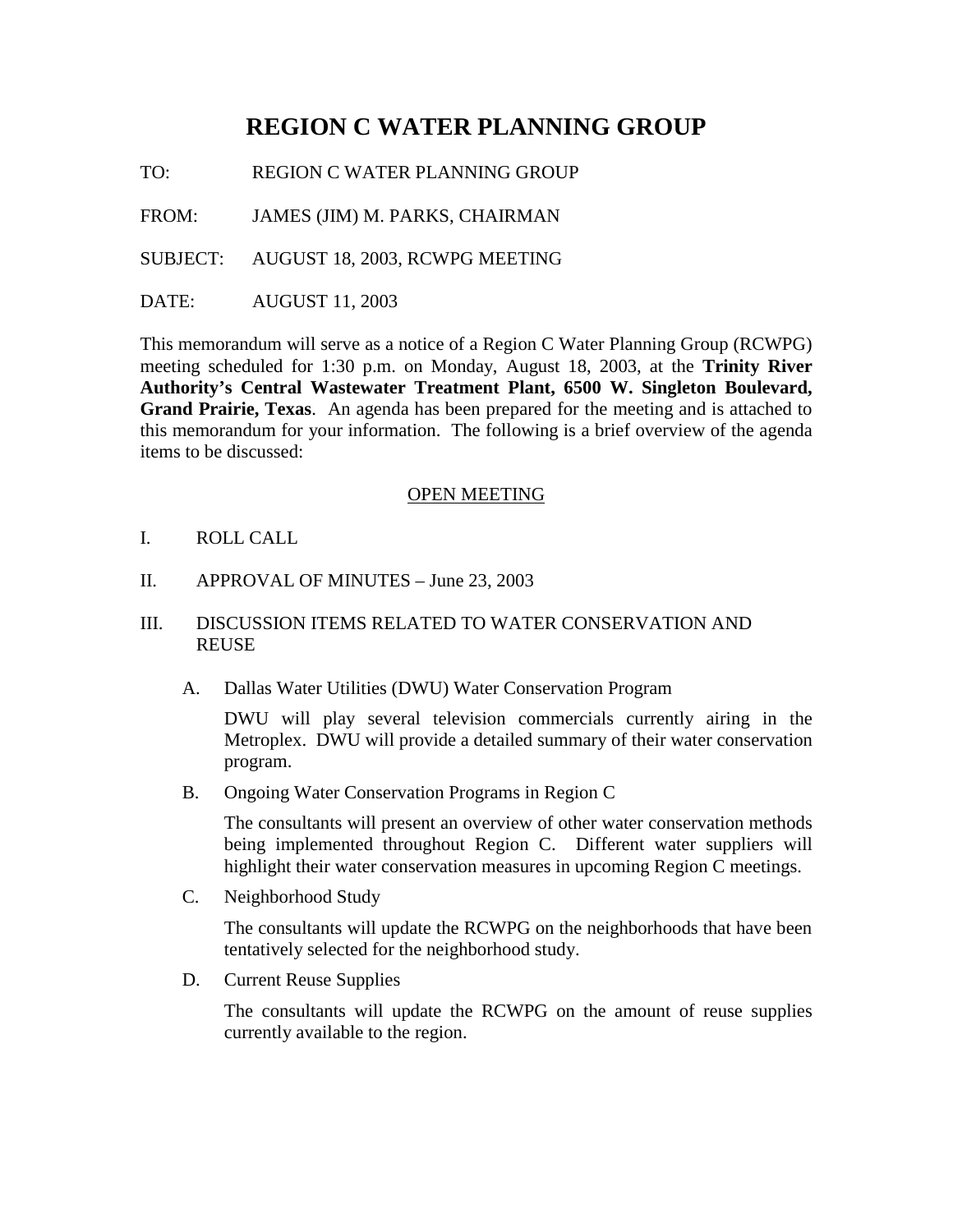# **REGION C WATER PLANNING GROUP**

TO: REGION C WATER PLANNING GROUP

FROM: JAMES (JIM) M. PARKS, CHAIRMAN

SUBJECT: AUGUST 18, 2003, RCWPG MEETING

DATE: AUGUST 11, 2003

This memorandum will serve as a notice of a Region C Water Planning Group (RCWPG) meeting scheduled for 1:30 p.m. on Monday, August 18, 2003, at the **Trinity River Authority's Central Wastewater Treatment Plant, 6500 W. Singleton Boulevard, Grand Prairie, Texas**. An agenda has been prepared for the meeting and is attached to this memorandum for your information. The following is a brief overview of the agenda items to be discussed:

#### OPEN MEETING

- I. ROLL CALL
- II. APPROVAL OF MINUTES June 23, 2003

### III. DISCUSSION ITEMS RELATED TO WATER CONSERVATION AND **REUSE**

A. Dallas Water Utilities (DWU) Water Conservation Program

DWU will play several television commercials currently airing in the Metroplex. DWU will provide a detailed summary of their water conservation program.

B. Ongoing Water Conservation Programs in Region C

The consultants will present an overview of other water conservation methods being implemented throughout Region C. Different water suppliers will highlight their water conservation measures in upcoming Region C meetings.

C. Neighborhood Study

The consultants will update the RCWPG on the neighborhoods that have been tentatively selected for the neighborhood study.

D. Current Reuse Supplies

The consultants will update the RCWPG on the amount of reuse supplies currently available to the region.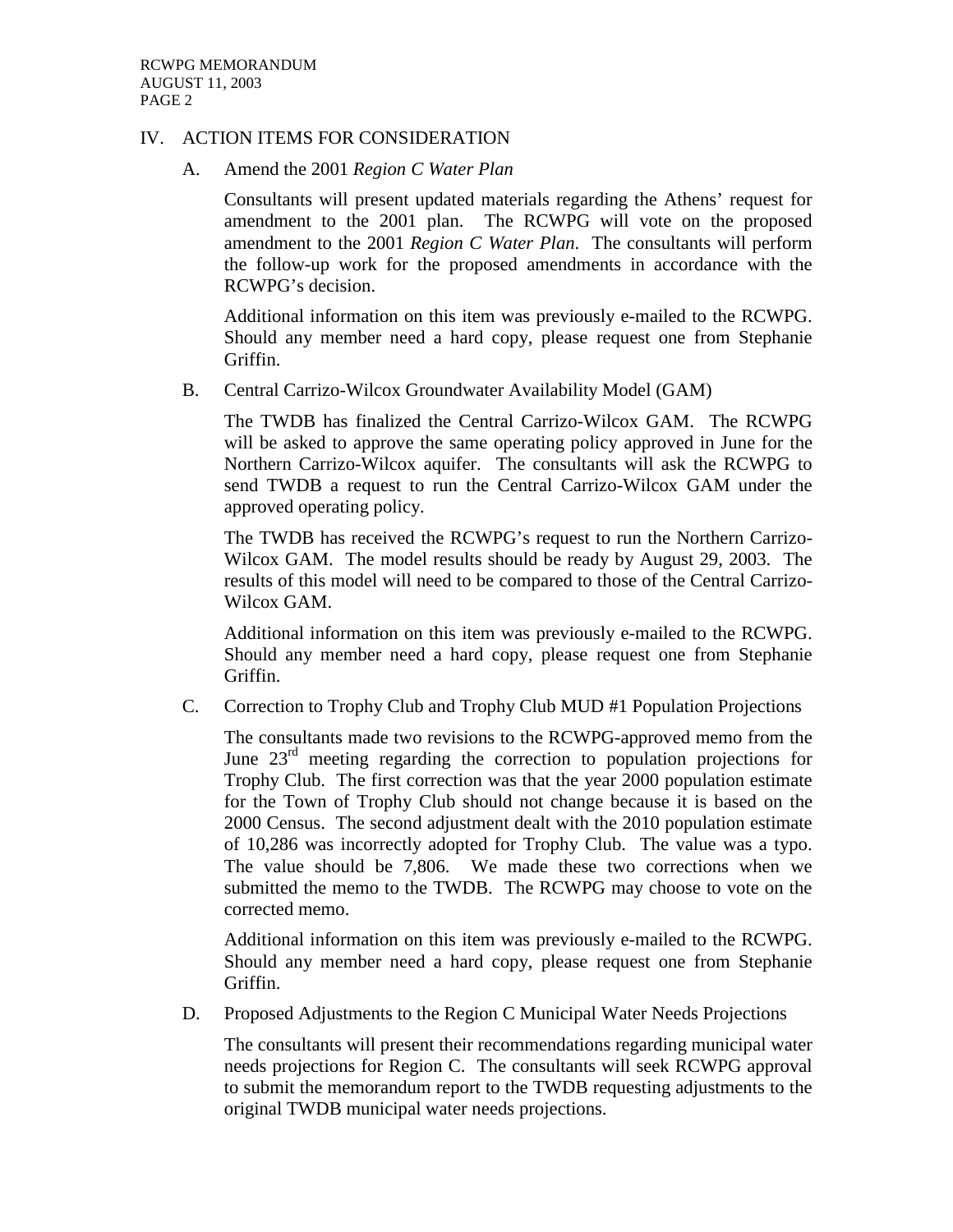#### IV. ACTION ITEMS FOR CONSIDERATION

A. Amend the 2001 *Region C Water Plan*

Consultants will present updated materials regarding the Athens' request for amendment to the 2001 plan. The RCWPG will vote on the proposed amendment to the 2001 *Region C Water Plan*. The consultants will perform the follow-up work for the proposed amendments in accordance with the RCWPG's decision.

Additional information on this item was previously e-mailed to the RCWPG. Should any member need a hard copy, please request one from Stephanie Griffin.

B. Central Carrizo-Wilcox Groundwater Availability Model (GAM)

The TWDB has finalized the Central Carrizo-Wilcox GAM. The RCWPG will be asked to approve the same operating policy approved in June for the Northern Carrizo-Wilcox aquifer. The consultants will ask the RCWPG to send TWDB a request to run the Central Carrizo-Wilcox GAM under the approved operating policy.

The TWDB has received the RCWPG's request to run the Northern Carrizo-Wilcox GAM. The model results should be ready by August 29, 2003. The results of this model will need to be compared to those of the Central Carrizo-Wilcox GAM.

Additional information on this item was previously e-mailed to the RCWPG. Should any member need a hard copy, please request one from Stephanie Griffin.

C. Correction to Trophy Club and Trophy Club MUD #1 Population Projections

The consultants made two revisions to the RCWPG-approved memo from the June 23<sup>rd</sup> meeting regarding the correction to population projections for Trophy Club. The first correction was that the year 2000 population estimate for the Town of Trophy Club should not change because it is based on the 2000 Census. The second adjustment dealt with the 2010 population estimate of 10,286 was incorrectly adopted for Trophy Club. The value was a typo. The value should be 7,806. We made these two corrections when we submitted the memo to the TWDB. The RCWPG may choose to vote on the corrected memo.

Additional information on this item was previously e-mailed to the RCWPG. Should any member need a hard copy, please request one from Stephanie Griffin.

D. Proposed Adjustments to the Region C Municipal Water Needs Projections

The consultants will present their recommendations regarding municipal water needs projections for Region C. The consultants will seek RCWPG approval to submit the memorandum report to the TWDB requesting adjustments to the original TWDB municipal water needs projections.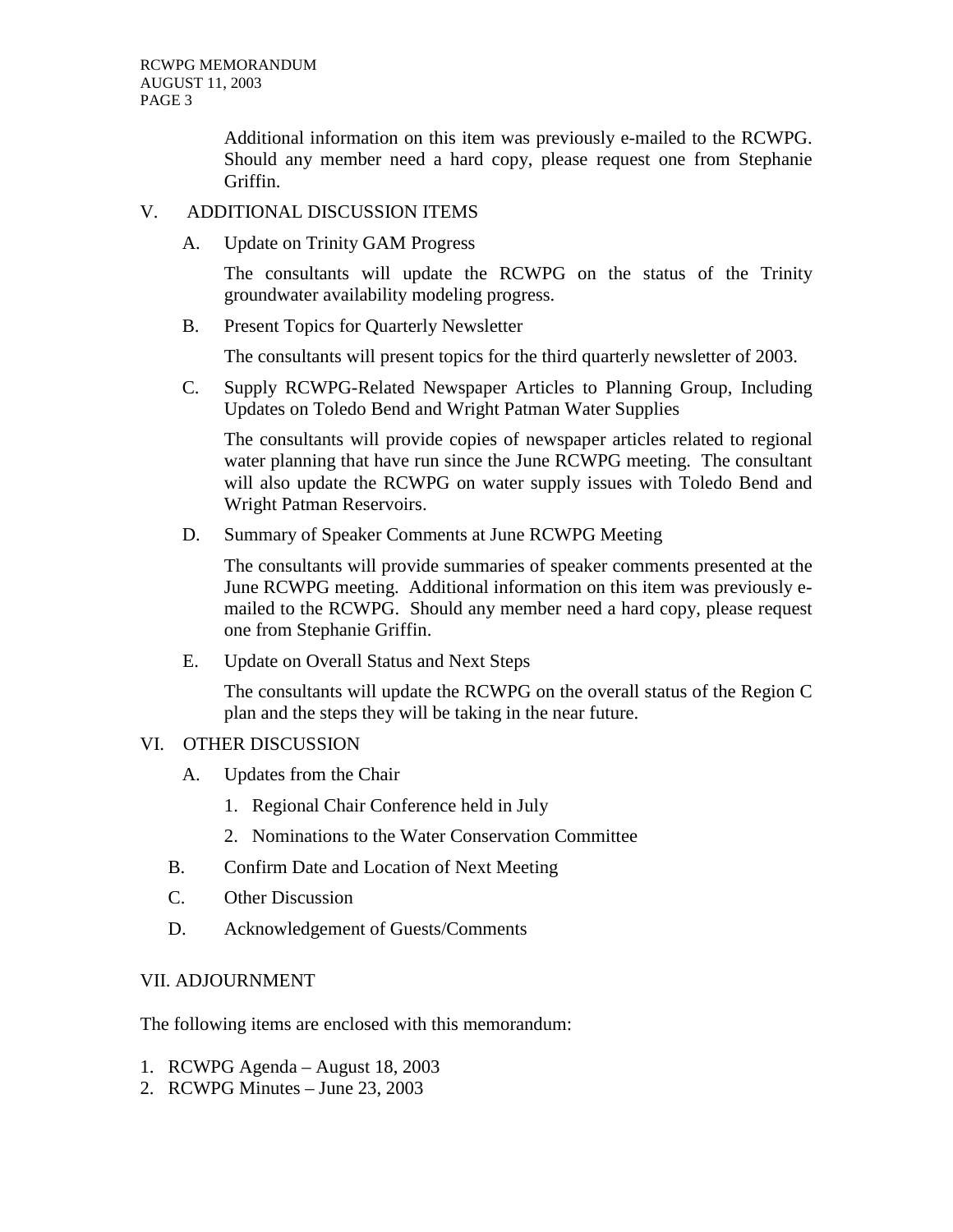Additional information on this item was previously e-mailed to the RCWPG. Should any member need a hard copy, please request one from Stephanie Griffin.

## V. ADDITIONAL DISCUSSION ITEMS

A. Update on Trinity GAM Progress

The consultants will update the RCWPG on the status of the Trinity groundwater availability modeling progress.

B. Present Topics for Quarterly Newsletter

The consultants will present topics for the third quarterly newsletter of 2003.

C. Supply RCWPG-Related Newspaper Articles to Planning Group, Including Updates on Toledo Bend and Wright Patman Water Supplies

The consultants will provide copies of newspaper articles related to regional water planning that have run since the June RCWPG meeting. The consultant will also update the RCWPG on water supply issues with Toledo Bend and Wright Patman Reservoirs.

D. Summary of Speaker Comments at June RCWPG Meeting

The consultants will provide summaries of speaker comments presented at the June RCWPG meeting. Additional information on this item was previously emailed to the RCWPG. Should any member need a hard copy, please request one from Stephanie Griffin.

E. Update on Overall Status and Next Steps

The consultants will update the RCWPG on the overall status of the Region C plan and the steps they will be taking in the near future.

## VI. OTHER DISCUSSION

- A. Updates from the Chair
	- 1. Regional Chair Conference held in July
	- 2. Nominations to the Water Conservation Committee
- B. Confirm Date and Location of Next Meeting
- C. Other Discussion
- D. Acknowledgement of Guests/Comments

### VII. ADJOURNMENT

The following items are enclosed with this memorandum:

- 1. RCWPG Agenda August 18, 2003
- 2. RCWPG Minutes June 23, 2003